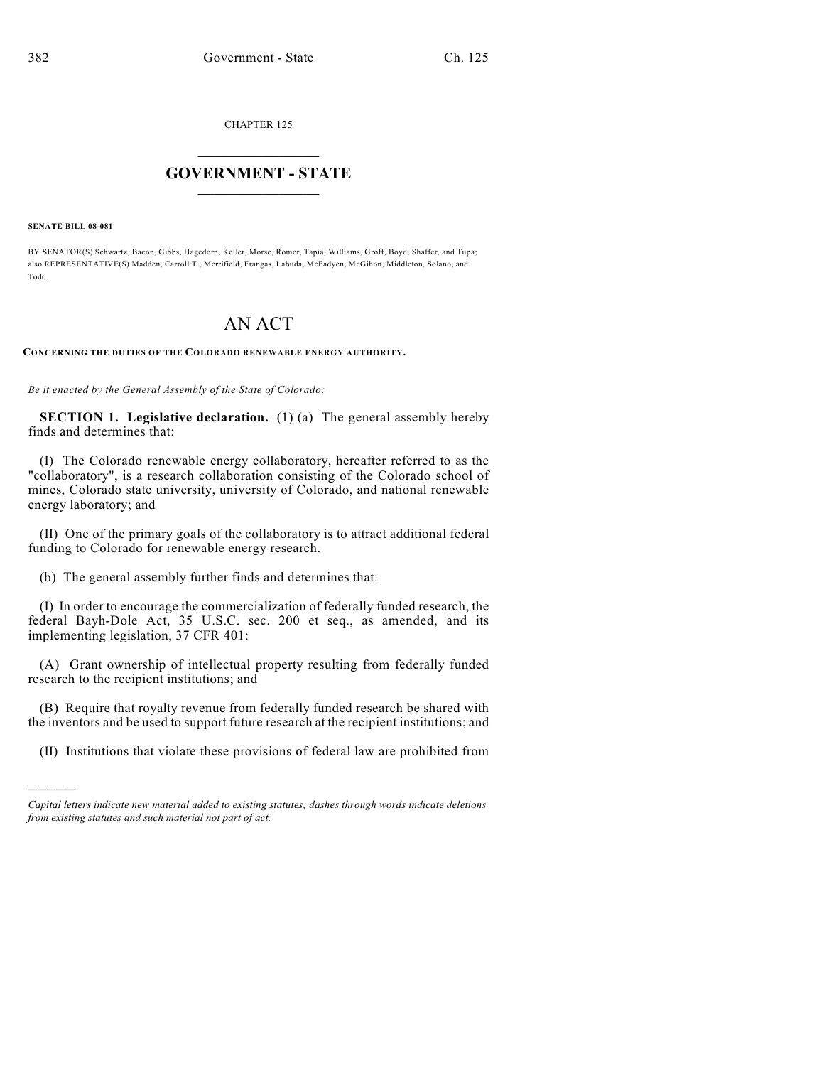CHAPTER 125

## $\mathcal{L}_\text{max}$  . The set of the set of the set of the set of the set of the set of the set of the set of the set of the set of the set of the set of the set of the set of the set of the set of the set of the set of the set **GOVERNMENT - STATE**  $\_$   $\_$   $\_$   $\_$   $\_$   $\_$   $\_$   $\_$

**SENATE BILL 08-081**

)))))

BY SENATOR(S) Schwartz, Bacon, Gibbs, Hagedorn, Keller, Morse, Romer, Tapia, Williams, Groff, Boyd, Shaffer, and Tupa; also REPRESENTATIVE(S) Madden, Carroll T., Merrifield, Frangas, Labuda, McFadyen, McGihon, Middleton, Solano, and Todd.

## AN ACT

**CONCERNING THE DUTIES OF THE COLORADO RENEWABLE ENERGY AUTHORITY.**

*Be it enacted by the General Assembly of the State of Colorado:*

**SECTION 1. Legislative declaration.** (1) (a) The general assembly hereby finds and determines that:

(I) The Colorado renewable energy collaboratory, hereafter referred to as the "collaboratory", is a research collaboration consisting of the Colorado school of mines, Colorado state university, university of Colorado, and national renewable energy laboratory; and

(II) One of the primary goals of the collaboratory is to attract additional federal funding to Colorado for renewable energy research.

(b) The general assembly further finds and determines that:

(I) In order to encourage the commercialization of federally funded research, the federal Bayh-Dole Act, 35 U.S.C. sec. 200 et seq., as amended, and its implementing legislation, 37 CFR 401:

(A) Grant ownership of intellectual property resulting from federally funded research to the recipient institutions; and

(B) Require that royalty revenue from federally funded research be shared with the inventors and be used to support future research at the recipient institutions; and

(II) Institutions that violate these provisions of federal law are prohibited from

*Capital letters indicate new material added to existing statutes; dashes through words indicate deletions from existing statutes and such material not part of act.*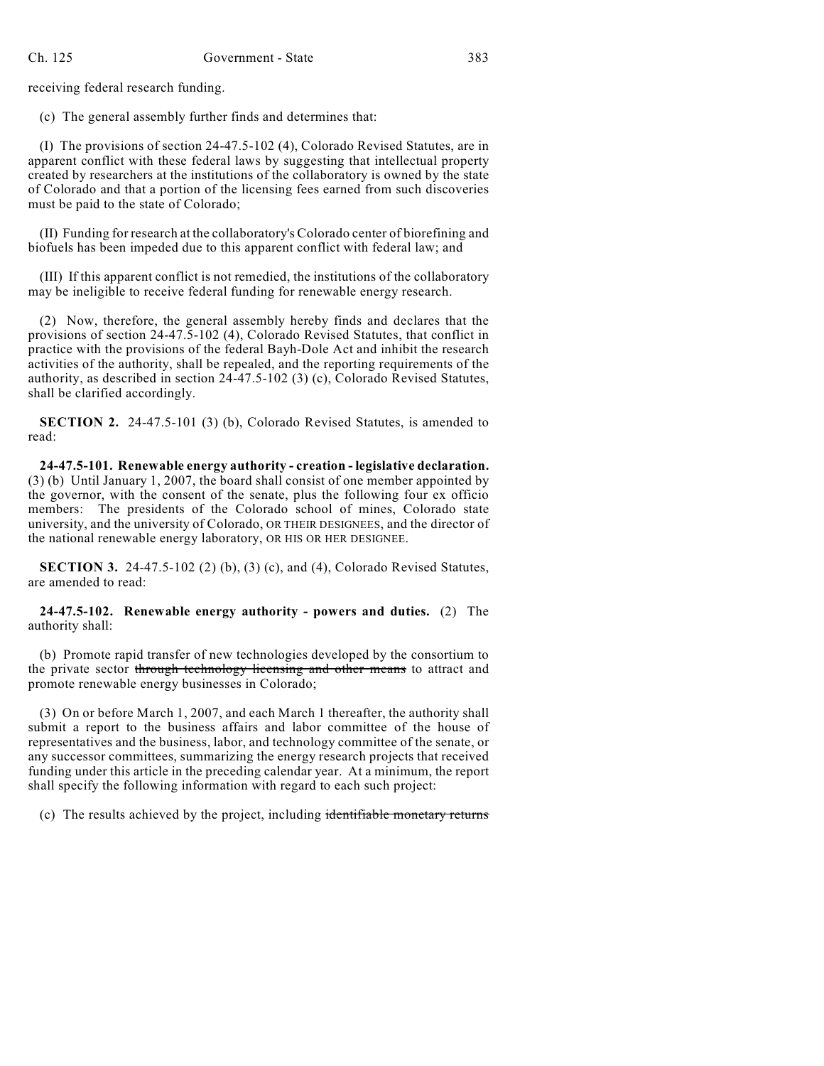receiving federal research funding.

(c) The general assembly further finds and determines that:

(I) The provisions of section 24-47.5-102 (4), Colorado Revised Statutes, are in apparent conflict with these federal laws by suggesting that intellectual property created by researchers at the institutions of the collaboratory is owned by the state of Colorado and that a portion of the licensing fees earned from such discoveries must be paid to the state of Colorado;

(II) Funding for research at the collaboratory's Colorado center of biorefining and biofuels has been impeded due to this apparent conflict with federal law; and

(III) If this apparent conflict is not remedied, the institutions of the collaboratory may be ineligible to receive federal funding for renewable energy research.

(2) Now, therefore, the general assembly hereby finds and declares that the provisions of section 24-47.5-102 (4), Colorado Revised Statutes, that conflict in practice with the provisions of the federal Bayh-Dole Act and inhibit the research activities of the authority, shall be repealed, and the reporting requirements of the authority, as described in section 24-47.5-102 (3) (c), Colorado Revised Statutes, shall be clarified accordingly.

**SECTION 2.** 24-47.5-101 (3) (b), Colorado Revised Statutes, is amended to read:

**24-47.5-101. Renewable energy authority - creation - legislative declaration.** (3) (b) Until January 1, 2007, the board shall consist of one member appointed by the governor, with the consent of the senate, plus the following four ex officio members: The presidents of the Colorado school of mines, Colorado state university, and the university of Colorado, OR THEIR DESIGNEES, and the director of the national renewable energy laboratory, OR HIS OR HER DESIGNEE.

**SECTION 3.** 24-47.5-102 (2) (b), (3) (c), and (4), Colorado Revised Statutes, are amended to read:

**24-47.5-102. Renewable energy authority - powers and duties.** (2) The authority shall:

(b) Promote rapid transfer of new technologies developed by the consortium to the private sector through technology licensing and other means to attract and promote renewable energy businesses in Colorado;

(3) On or before March 1, 2007, and each March 1 thereafter, the authority shall submit a report to the business affairs and labor committee of the house of representatives and the business, labor, and technology committee of the senate, or any successor committees, summarizing the energy research projects that received funding under this article in the preceding calendar year. At a minimum, the report shall specify the following information with regard to each such project:

(c) The results achieved by the project, including identifiable monetary returns